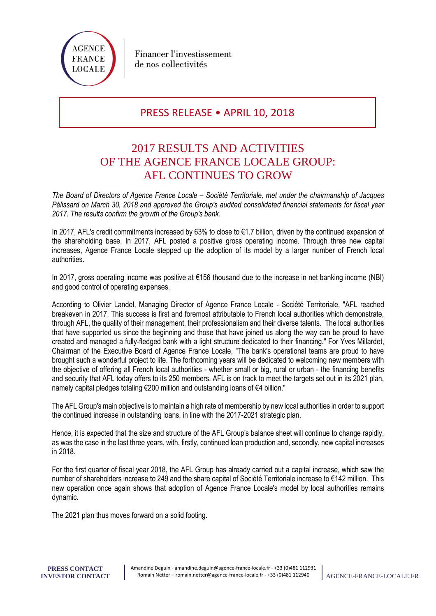

## PRESS RELEASE • APRIL 10, 2018

# 2017 RESULTS AND ACTIVITIES OF THE AGENCE FRANCE LOCALE GROUP: AFL CONTINUES TO GROW

*The Board of Directors of Agence France Locale – Société Territoriale, met under the chairmanship of Jacques Pélissard on March 30, 2018 and approved the Group's audited consolidated financial statements for fiscal year 2017. The results confirm the growth of the Group's bank.* 

In 2017, AFL's credit commitments increased by 63% to close to €1.7 billion, driven by the continued expansion of the shareholding base. In 2017, AFL posted a positive gross operating income. Through three new capital increases, Agence France Locale stepped up the adoption of its model by a larger number of French local authorities.

In 2017, gross operating income was positive at €156 thousand due to the increase in net banking income (NBI) and good control of operating expenses.

According to Olivier Landel, Managing Director of Agence France Locale - Société Territoriale, "AFL reached breakeven in 2017. This success is first and foremost attributable to French local authorities which demonstrate, through AFL, the quality of their management, their professionalism and their diverse talents. The local authorities that have supported us since the beginning and those that have joined us along the way can be proud to have created and managed a fully-fledged bank with a light structure dedicated to their financing." For Yves Millardet, Chairman of the Executive Board of Agence France Locale, "The bank's operational teams are proud to have brought such a wonderful project to life. The forthcoming years will be dedicated to welcoming new members with the objective of offering all French local authorities - whether small or big, rural or urban - the financing benefits and security that AFL today offers to its 250 members. AFL is on track to meet the targets set out in its 2021 plan, namely capital pledges totaling €200 million and outstanding loans of €4 billion."

The AFL Group's main objective is to maintain a high rate of membership by new local authorities in order to support the continued increase in outstanding loans, in line with the 2017-2021 strategic plan.

Hence, it is expected that the size and structure of the AFL Group's balance sheet will continue to change rapidly, as was the case in the last three years, with, firstly, continued loan production and, secondly, new capital increases in 2018.

For the first quarter of fiscal year 2018, the AFL Group has already carried out a capital increase, which saw the number of shareholders increase to 249 and the share capital of Société Territoriale increase to €142 million. This new operation once again shows that adoption of Agence France Locale's model by local authorities remains dynamic.

The 2021 plan thus moves forward on a solid footing.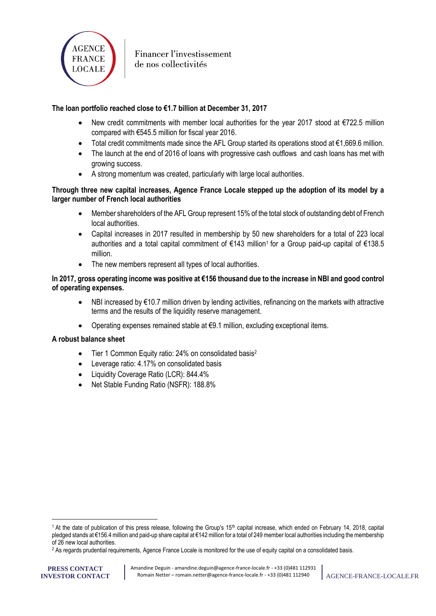

## **The loan portfolio reached close to €1.7 billion at December 31, 2017**

- New credit commitments with member local authorities for the year 2017 stood at  $\epsilon$ 722.5 million compared with €545.5 million for fiscal year 2016.
- Total credit commitments made since the AFL Group started its operations stood at €1,669.6 million.
- The launch at the end of 2016 of loans with progressive cash outflows and cash loans has met with growing success.
- A strong momentum was created, particularly with large local authorities.

#### **Through three new capital increases, Agence France Locale stepped up the adoption of its model by a larger number of French local authorities**

- Member shareholders of the AFL Group represent 15% of the total stock of outstanding debt of French local authorities.
- Capital increases in 2017 resulted in membership by 50 new shareholders for a total of 223 local authorities and a total capital commitment of €143 million<sup>1</sup> for a Group paid-up capital of €138.5 million.
- The new members represent all types of local authorities.

#### **In 2017, gross operating income was positive at €156 thousand due to the increase in NBI and good control of operating expenses.**

- NBI increased by €10.7 million driven by lending activities, refinancing on the markets with attractive terms and the results of the liquidity reserve management.
- Operating expenses remained stable at €9.1 million, excluding exceptional items.

#### **A robust balance sheet**

- Tier 1 Common Equity ratio: 24% on consolidated basis<sup>2</sup>
- Leverage ratio: 4.17% on consolidated basis
- Liquidity Coverage Ratio (LCR): 844.4%
- Net Stable Funding Ratio (NSFR): 188.8%

l

<sup>&</sup>lt;sup>1</sup> At the date of publication of this press release, following the Group's  $15<sup>th</sup>$  capital increase, which ended on February 14, 2018, capital pledged stands at €156.4 million and paid-up share capital at €142 million for a total of 249 member local authorities including the membership of 26 new local authorities.

<sup>2</sup> As regards prudential requirements, Agence France Locale is monitored for the use of equity capital on a consolidated basis.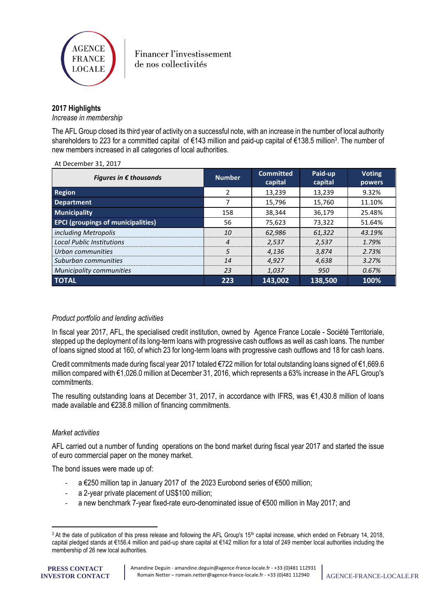

#### **2017 Highlights**

*Increase in membership*

The AFL Group closed its third year of activity on a successful note, with an increase in the number of local authority shareholders to 223 for a committed capital of €143 million and paid-up capital of €138.5 million<sup>3</sup>. The number of new members increased in all categories of local authorities.

| Figures in $\epsilon$ thousands           | <b>Number</b>  | <b>Committed</b><br>capital | Paid-up<br>capital | <b>Voting</b><br>powers |
|-------------------------------------------|----------------|-----------------------------|--------------------|-------------------------|
| Region                                    | 2              | 13,239                      | 13,239             | 9.32%                   |
| <b>Department</b>                         |                | 15,796                      | 15,760             | 11.10%                  |
| <b>Municipality</b>                       | 158            | 38,344                      | 36,179             | 25.48%                  |
| <b>EPCI (groupings of municipalities)</b> | 56             | 75,623                      | 73,322             | 51.64%                  |
| including Metropolis                      | 10             | 62,986                      | 61,322             | 43.19%                  |
| <b>Local Public Institutions</b>          | $\overline{4}$ | 2,537                       | 2,537              | 1.79%                   |
| Urban communities                         | 5              | 4.136                       | 3,874              | 2.73%                   |
| Suburban communities                      | 14             | 4.927                       | 4,638              | 3.27%                   |
| <b>Municipality communities</b>           | 23             | 1.037                       | 950                | 0.67%                   |
| <b>TOTAL</b>                              | 223            | 143,002                     | 138,500            | 100%                    |

#### At December 31, 2017

#### *Product portfolio and lending activities*

In fiscal year 2017, AFL, the specialised credit institution, owned by Agence France Locale - Société Territoriale, stepped up the deployment of its long-term loans with progressive cash outflows as well as cash loans. The number of loans signed stood at 160, of which 23 for long-term loans with progressive cash outflows and 18 for cash loans.

Credit commitments made during fiscal year 2017 totaled €722 million for total outstanding loans signed of €1,669.6 million compared with €1,026.0 million at December 31, 2016, which represents a 63% increase in the AFL Group's commitments.

The resulting outstanding loans at December 31, 2017, in accordance with IFRS, was €1,430.8 million of loans made available and €238.8 million of financing commitments.

#### *Market activities*

AFL carried out a number of funding operations on the bond market during fiscal year 2017 and started the issue of euro commercial paper on the money market.

The bond issues were made up of:

- a €250 million tap in January 2017 of the 2023 Eurobond series of €500 million;
- a 2-year private placement of US\$100 million;
- a new benchmark 7-year fixed-rate euro-denominated issue of €500 million in May 2017; and

**PRESS CONTACT INVESTOR CONTACT**

 $\overline{a}$ 

<sup>&</sup>lt;sup>3</sup> At the date of publication of this press release and following the AFL Group's 15<sup>th</sup> capital increase, which ended on February 14, 2018, capital pledged stands at €156.4 million and paid-up share capital at €142 million for a total of 249 member local authorities including the membership of 26 new local authorities.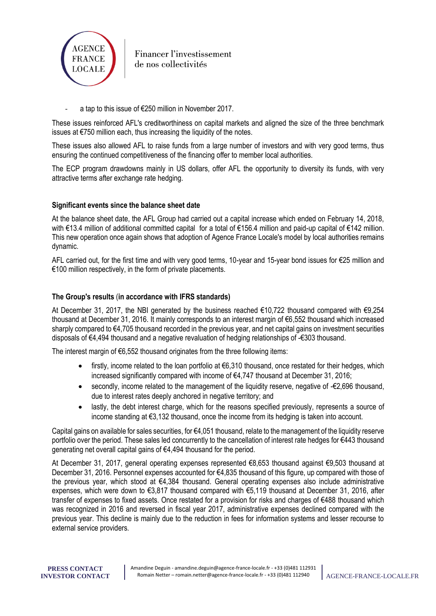

- a tap to this issue of €250 million in November 2017.

These issues reinforced AFL's creditworthiness on capital markets and aligned the size of the three benchmark issues at €750 million each, thus increasing the liquidity of the notes.

These issues also allowed AFL to raise funds from a large number of investors and with very good terms, thus ensuring the continued competitiveness of the financing offer to member local authorities.

The ECP program drawdowns mainly in US dollars, offer AFL the opportunity to diversity its funds, with very attractive terms after exchange rate hedging.

#### **Significant events since the balance sheet date**

At the balance sheet date, the AFL Group had carried out a capital increase which ended on February 14, 2018, with €13.4 million of additional committed capital for a total of €156.4 million and paid-up capital of €142 million. This new operation once again shows that adoption of Agence France Locale's model by local authorities remains dynamic.

AFL carried out, for the first time and with very good terms, 10-year and 15-year bond issues for €25 million and €100 million respectively, in the form of private placements.

#### **The Group's results** (**in accordance with IFRS standards)**

At December 31, 2017, the NBI generated by the business reached €10,722 thousand compared with €9,254 thousand at December 31, 2016. It mainly corresponds to an interest margin of €6,552 thousand which increased sharply compared to €4,705 thousand recorded in the previous year, and net capital gains on investment securities disposals of €4,494 thousand and a negative revaluation of hedging relationships of -€303 thousand.

The interest margin of €6,552 thousand originates from the three following items:

- firstly, income related to the loan portfolio at €6,310 thousand, once restated for their hedges, which increased significantly compared with income of €4,747 thousand at December 31, 2016;
- secondly, income related to the management of the liquidity reserve, negative of -€2,696 thousand, due to interest rates deeply anchored in negative territory; and
- lastly, the debt interest charge, which for the reasons specified previously, represents a source of income standing at €3,132 thousand, once the income from its hedging is taken into account.

Capital gains on available for sales securities, for €4,051 thousand, relate to the management of the liquidity reserve portfolio over the period. These sales led concurrently to the cancellation of interest rate hedges for €443 thousand generating net overall capital gains of €4,494 thousand for the period.

At December 31, 2017, general operating expenses represented €8,653 thousand against €9,503 thousand at December 31, 2016. Personnel expenses accounted for €4,835 thousand of this figure, up compared with those of the previous year, which stood at €4,384 thousand. General operating expenses also include administrative expenses, which were down to €3,817 thousand compared with €5,119 thousand at December 31, 2016, after transfer of expenses to fixed assets. Once restated for a provision for risks and charges of €488 thousand which was recognized in 2016 and reversed in fiscal year 2017, administrative expenses declined compared with the previous year. This decline is mainly due to the reduction in fees for information systems and lesser recourse to external service providers.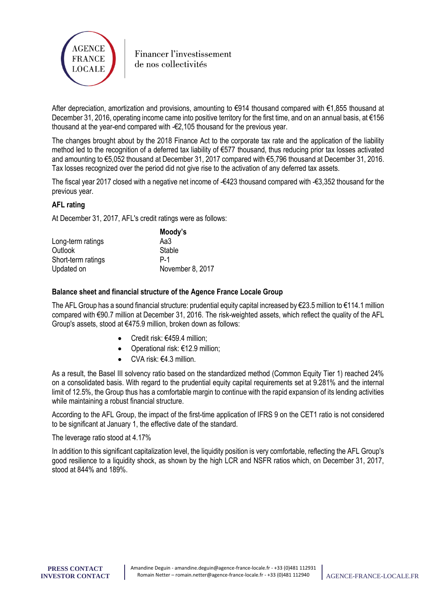

After depreciation, amortization and provisions, amounting to €914 thousand compared with €1,855 thousand at December 31, 2016, operating income came into positive territory for the first time, and on an annual basis, at  $\epsilon$ 156 thousand at the year-end compared with -€2,105 thousand for the previous year.

The changes brought about by the 2018 Finance Act to the corporate tax rate and the application of the liability method led to the recognition of a deferred tax liability of €577 thousand, thus reducing prior tax losses activated and amounting to €5,052 thousand at December 31, 2017 compared with €5,796 thousand at December 31, 2016. Tax losses recognized over the period did not give rise to the activation of any deferred tax assets.

The fiscal year 2017 closed with a negative net income of -€423 thousand compared with -€3,352 thousand for the previous year.

#### **AFL rating**

At December 31, 2017, AFL's credit ratings were as follows:

|                    | Moody's          |
|--------------------|------------------|
| Long-term ratings  | Aa3              |
| Outlook            | Stable           |
| Short-term ratings | P-1              |
| Updated on         | November 8, 2017 |

#### **Balance sheet and financial structure of the Agence France Locale Group**

The AFL Group has a sound financial structure: prudential equity capital increased by  $\epsilon$ 23.5 million to  $\epsilon$ 114.1 million compared with €90.7 million at December 31, 2016. The risk-weighted assets, which reflect the quality of the AFL Group's assets, stood at €475.9 million, broken down as follows:

- Credit risk: €459.4 million;
- Operational risk: €12.9 million;
- CVA risk: €4.3 million.

As a result, the Basel III solvency ratio based on the standardized method (Common Equity Tier 1) reached 24% on a consolidated basis. With regard to the prudential equity capital requirements set at 9.281% and the internal limit of 12.5%, the Group thus has a comfortable margin to continue with the rapid expansion of its lending activities while maintaining a robust financial structure.

According to the AFL Group, the impact of the first-time application of IFRS 9 on the CET1 ratio is not considered to be significant at January 1, the effective date of the standard.

The leverage ratio stood at 4.17%

In addition to this significant capitalization level, the liquidity position is very comfortable, reflecting the AFL Group's good resilience to a liquidity shock, as shown by the high LCR and NSFR ratios which, on December 31, 2017, stood at 844% and 189%.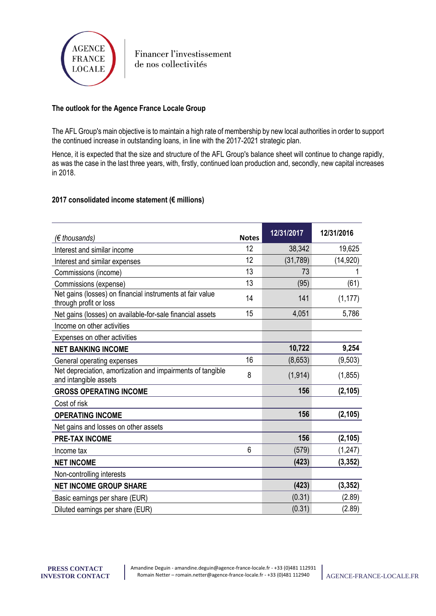

## **The outlook for the Agence France Locale Group**

The AFL Group's main objective is to maintain a high rate of membership by new local authorities in order to support the continued increase in outstanding loans, in line with the 2017-2021 strategic plan.

Hence, it is expected that the size and structure of the AFL Group's balance sheet will continue to change rapidly, as was the case in the last three years, with, firstly, continued loan production and, secondly, new capital increases in 2018.

#### **2017 consolidated income statement (€ millions)**

| $(\epsilon$ thousands)                                                              | <b>Notes</b> | 12/31/2017 | 12/31/2016 |
|-------------------------------------------------------------------------------------|--------------|------------|------------|
| Interest and similar income                                                         | 12           | 38,342     | 19,625     |
| Interest and similar expenses                                                       | 12           | (31, 789)  | (14,920)   |
| Commissions (income)                                                                | 13           | 73         |            |
| Commissions (expense)                                                               | 13           | (95)       | (61)       |
| Net gains (losses) on financial instruments at fair value<br>through profit or loss | 14           | 141        | (1, 177)   |
| Net gains (losses) on available-for-sale financial assets                           | 15           | 4,051      | 5,786      |
| Income on other activities                                                          |              |            |            |
| Expenses on other activities                                                        |              |            |            |
| <b>NET BANKING INCOME</b>                                                           |              | 10,722     | 9,254      |
| General operating expenses                                                          | 16           | (8,653)    | (9, 503)   |
| Net depreciation, amortization and impairments of tangible<br>and intangible assets | 8            | (1, 914)   | (1, 855)   |
| <b>GROSS OPERATING INCOME</b>                                                       |              | 156        | (2, 105)   |
| Cost of risk                                                                        |              |            |            |
| <b>OPERATING INCOME</b>                                                             |              | 156        | (2, 105)   |
| Net gains and losses on other assets                                                |              |            |            |
| <b>PRE-TAX INCOME</b>                                                               |              | 156        | (2, 105)   |
| Income tax                                                                          | 6            | (579)      | (1, 247)   |
| <b>NET INCOME</b>                                                                   |              | (423)      | (3, 352)   |
| Non-controlling interests                                                           |              |            |            |
| <b>NET INCOME GROUP SHARE</b>                                                       |              | (423)      | (3, 352)   |
| Basic earnings per share (EUR)                                                      |              | (0.31)     | (2.89)     |
| Diluted earnings per share (EUR)                                                    |              | (0.31)     | (2.89)     |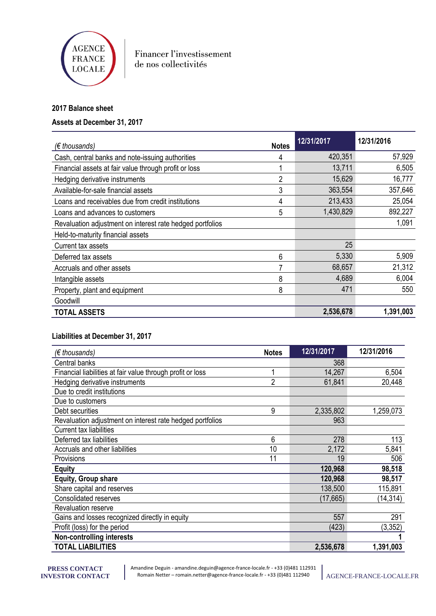

## **2017 Balance sheet**

## **Assets at December 31, 2017**

| $(\epsilon$ thousands)                                    | <b>Notes</b>   | 12/31/2017 | 12/31/2016 |
|-----------------------------------------------------------|----------------|------------|------------|
| Cash, central banks and note-issuing authorities          | 4              | 420,351    | 57,929     |
| Financial assets at fair value through profit or loss     |                | 13,711     | 6,505      |
| Hedging derivative instruments                            | $\overline{2}$ | 15,629     | 16,777     |
| Available-for-sale financial assets                       | 3              | 363,554    | 357,646    |
| Loans and receivables due from credit institutions        | 4              | 213,433    | 25,054     |
| Loans and advances to customers                           | 5              | 1,430,829  | 892,227    |
| Revaluation adjustment on interest rate hedged portfolios |                |            | 1,091      |
| Held-to-maturity financial assets                         |                |            |            |
| Current tax assets                                        |                | 25         |            |
| Deferred tax assets                                       | 6              | 5,330      | 5,909      |
| Accruals and other assets                                 |                | 68,657     | 21,312     |
| Intangible assets                                         | 8              | 4,689      | 6,004      |
| Property, plant and equipment                             | 8              | 471        | 550        |
| Goodwill                                                  |                |            |            |
| <b>TOTAL ASSETS</b>                                       |                | 2,536,678  | 1,391,003  |

## **Liabilities at December 31, 2017**

| $(\epsilon$ thousands)                                     | <b>Notes</b>   | 12/31/2017 | 12/31/2016 |
|------------------------------------------------------------|----------------|------------|------------|
| Central banks                                              |                | 368        |            |
| Financial liabilities at fair value through profit or loss |                | 14,267     | 6,504      |
| Hedging derivative instruments                             | $\overline{2}$ | 61,841     | 20,448     |
| Due to credit institutions                                 |                |            |            |
| Due to customers                                           |                |            |            |
| Debt securities                                            | 9              | 2,335,802  | 1,259,073  |
| Revaluation adjustment on interest rate hedged portfolios  |                | 963        |            |
| <b>Current tax liabilities</b>                             |                |            |            |
| Deferred tax liabilities                                   | 6              | 278        | 113        |
| Accruals and other liabilities                             | 10             | 2,172      | 5,841      |
| Provisions                                                 | 11             | 19         | 506        |
| <b>Equity</b>                                              |                | 120,968    | 98,518     |
| Equity, Group share                                        |                | 120,968    | 98,517     |
| Share capital and reserves                                 |                | 138,500    | 115,891    |
| <b>Consolidated reserves</b>                               |                | (17, 665)  | (14, 314)  |
| Revaluation reserve                                        |                |            |            |
| Gains and losses recognized directly in equity             |                | 557        | 291        |
| Profit (loss) for the period                               |                | (423)      | (3,352)    |
| <b>Non-controlling interests</b>                           |                |            |            |
| <b>TOTAL LIABILITIES</b>                                   |                | 2,536,678  | 1,391,003  |

Amandine Deguin - amandine.deguin@agence-france-locale.fr - +33 (0)481 112931 Romain Netter – romain.netter@agence-france-locale.fr - +33 (0)481 112940 AGENCE-FRANCE-LOCALE.FR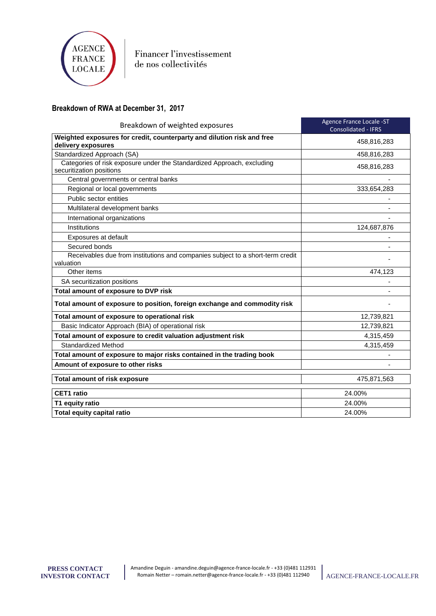

## **Breakdown of RWA at December 31, 2017**

| Breakdown of weighted exposures                                                                    | Agence France Locale -ST<br><b>Consolidated - IFRS</b> |
|----------------------------------------------------------------------------------------------------|--------------------------------------------------------|
| Weighted exposures for credit, counterparty and dilution risk and free<br>delivery exposures       | 458,816,283                                            |
| Standardized Approach (SA)                                                                         | 458,816,283                                            |
| Categories of risk exposure under the Standardized Approach, excluding<br>securitization positions | 458,816,283                                            |
| Central governments or central banks                                                               |                                                        |
| Regional or local governments                                                                      | 333,654,283                                            |
| Public sector entities                                                                             |                                                        |
| Multilateral development banks                                                                     |                                                        |
| International organizations                                                                        |                                                        |
| Institutions                                                                                       | 124,687,876                                            |
| Exposures at default                                                                               |                                                        |
| Secured bonds                                                                                      |                                                        |
| Receivables due from institutions and companies subject to a short-term credit<br>valuation        |                                                        |
| Other items                                                                                        | 474,123                                                |
| SA securitization positions                                                                        |                                                        |
| Total amount of exposure to DVP risk                                                               |                                                        |
| Total amount of exposure to position, foreign exchange and commodity risk                          |                                                        |
| Total amount of exposure to operational risk                                                       | 12,739,821                                             |
| Basic Indicator Approach (BIA) of operational risk                                                 | 12,739,821                                             |
| Total amount of exposure to credit valuation adjustment risk                                       | 4,315,459                                              |
| Standardized Method                                                                                | 4,315,459                                              |
| Total amount of exposure to major risks contained in the trading book                              |                                                        |
| Amount of exposure to other risks                                                                  |                                                        |
| <b>Total amount of risk exposure</b>                                                               | 475,871,563                                            |
| <b>CET1</b> ratio                                                                                  | 24.00%                                                 |
| T1 equity ratio                                                                                    | 24.00%                                                 |
| Total equity capital ratio                                                                         | 24.00%                                                 |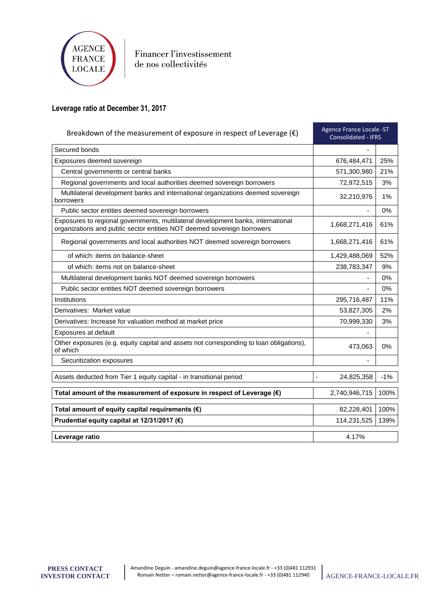

## **Leverage ratio at December 31, 2017**

| Agence France Locale -ST<br>Breakdown of the measurement of exposure in respect of Leverage $(\epsilon)$<br><b>Consolidated - IFRS</b>                      |                          |       |
|-------------------------------------------------------------------------------------------------------------------------------------------------------------|--------------------------|-------|
| Secured bonds                                                                                                                                               |                          |       |
| Exposures deemed sovereign                                                                                                                                  | 676,484,471              | 25%   |
| Central governments or central banks                                                                                                                        | 571,300,980              | 21%   |
| Regional governments and local authorities deemed sovereign borrowers                                                                                       | 72,972,515               | 3%    |
| Multilateral development banks and international organizations deemed sovereign<br>borrowers                                                                | 32,210,976               | 1%    |
| Public sector entities deemed sovereign borrowers                                                                                                           | $\overline{\phantom{a}}$ | 0%    |
| Exposures to regional governments, multilateral development banks, international<br>organizations and public sector entities NOT deemed sovereign borrowers | 1,668,271,416            | 61%   |
| Regional governments and local authorities NOT deemed sovereign borrowers                                                                                   | 1,668,271,416            | 61%   |
| of which: items on balance-sheet                                                                                                                            | 1,429,488,069            | 52%   |
| of which: items not on balance-sheet                                                                                                                        | 238,783,347              | 9%    |
| Multilateral development banks NOT deemed sovereign borrowers                                                                                               | $\blacksquare$           | 0%    |
| Public sector entities NOT deemed sovereign borrowers                                                                                                       |                          | 0%    |
| Institutions                                                                                                                                                | 295,716,487              | 11%   |
| Derivatives: Market value                                                                                                                                   | 53,827,305               | 2%    |
| Derivatives: Increase for valuation method at market price                                                                                                  | 70,999,330               | 3%    |
| Exposures at default                                                                                                                                        |                          |       |
| Other exposures (e.g. equity capital and assets not corresponding to loan obligations),<br>of which                                                         | 473,063                  | 0%    |
| Securitization exposures                                                                                                                                    |                          |       |
| Assets deducted from Tier 1 equity capital - in transitional period                                                                                         | 24,825,358               | $-1%$ |
| Total amount of the measurement of exposure in respect of Leverage (€)                                                                                      | 2,740,946,715            | 100%  |
| Total amount of equity capital requirements $(\epsilon)$                                                                                                    | 82,228,401               | 100%  |
| Prudential equity capital at 12/31/2017 (€)                                                                                                                 | 114,231,525              | 139%  |
| Leverage ratio                                                                                                                                              | 4.17%                    |       |